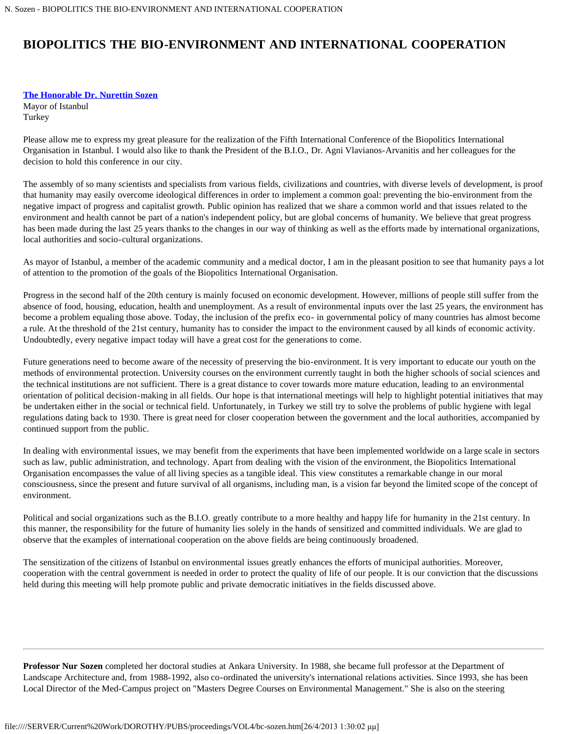## **BIOPOLITICS THE BIO-ENVIRONMENT AND INTERNATIONAL COOPERATION**

## **[The Honorable Dr. Nurettin Sozen](#page-0-0)**

Mayor of Istanbul Turkey

Please allow me to express my great pleasure for the realization of the Fifth International Conference of the Biopolitics International Organisation in Istanbul. I would also like to thank the President of the B.I.O., Dr. Agni Vlavianos-Arvanitis and her colleagues for the decision to hold this conference in our city.

The assembly of so many scientists and specialists from various fields, civilizations and countries, with diverse levels of development, is proof that humanity may easily overcome ideological differences in order to implement a common goal: preventing the bio-environment from the negative impact of progress and capitalist growth. Public opinion has realized that we share a common world and that issues related to the environment and health cannot be part of a nation's independent policy, but are global concerns of humanity. We believe that great progress has been made during the last 25 years thanks to the changes in our way of thinking as well as the efforts made by international organizations, local authorities and socio-cultural organizations.

As mayor of Istanbul, a member of the academic community and a medical doctor, I am in the pleasant position to see that humanity pays a lot of attention to the promotion of the goals of the Biopolitics International Organisation.

Progress in the second half of the 20th century is mainly focused on economic development. However, millions of people still suffer from the absence of food, housing, education, health and unemployment. As a result of environmental inputs over the last 25 years, the environment has become a problem equaling those above. Today, the inclusion of the prefix eco- in governmental policy of many countries has almost become a rule. At the threshold of the 21st century, humanity has to consider the impact to the environment caused by all kinds of economic activity. Undoubtedly, every negative impact today will have a great cost for the generations to come.

Future generations need to become aware of the necessity of preserving the bio-environment. It is very important to educate our youth on the methods of environmental protection. University courses on the environment currently taught in both the higher schools of social sciences and the technical institutions are not sufficient. There is a great distance to cover towards more mature education, leading to an environmental orientation of political decision-making in all fields. Our hope is that international meetings will help to highlight potential initiatives that may be undertaken either in the social or technical field. Unfortunately, in Turkey we still try to solve the problems of public hygiene with legal regulations dating back to 1930. There is great need for closer cooperation between the government and the local authorities, accompanied by continued support from the public.

In dealing with environmental issues, we may benefit from the experiments that have been implemented worldwide on a large scale in sectors such as law, public administration, and technology. Apart from dealing with the vision of the environment, the Biopolitics International Organisation encompasses the value of all living species as a tangible ideal. This view constitutes a remarkable change in our moral consciousness, since the present and future survival of all organisms, including man, is a vision far beyond the limited scope of the concept of environment.

Political and social organizations such as the B.I.O. greatly contribute to a more healthy and happy life for humanity in the 21st century. In this manner, the responsibility for the future of humanity lies solely in the hands of sensitized and committed individuals. We are glad to observe that the examples of international cooperation on the above fields are being continuously broadened.

The sensitization of the citizens of Istanbul on environmental issues greatly enhances the efforts of municipal authorities. Moreover, cooperation with the central government is needed in order to protect the quality of life of our people. It is our conviction that the discussions held during this meeting will help promote public and private democratic initiatives in the fields discussed above.

<span id="page-0-0"></span>**Professor Nur Sozen** completed her doctoral studies at Ankara University. In 1988, she became full professor at the Department of Landscape Architecture and, from 1988-1992, also co-ordinated the university's international relations activities. Since 1993, she has been Local Director of the Med-Campus project on "Masters Degree Courses on Environmental Management." She is also on the steering